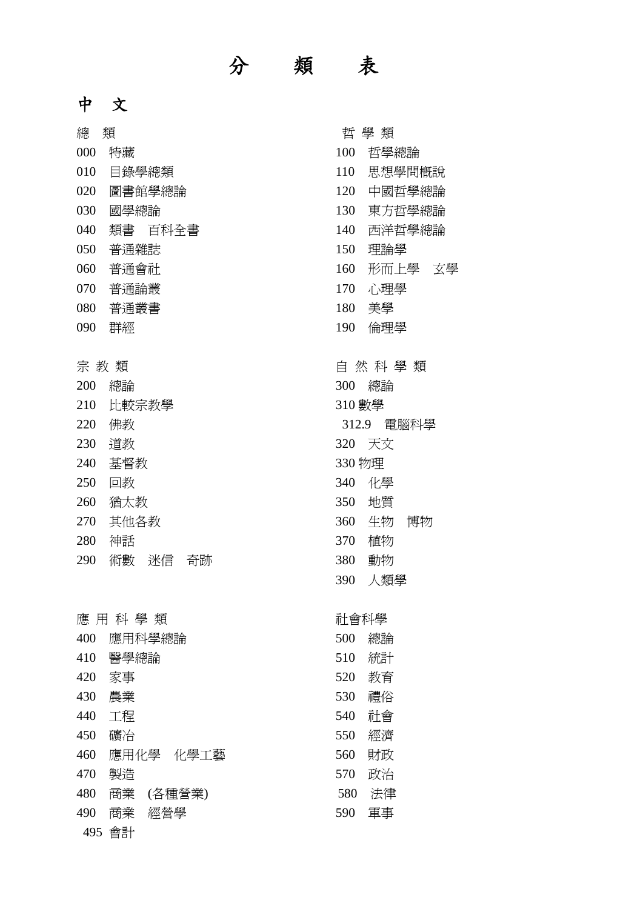## 分 類 表

## 中 文

| 總                  | 類            | 哲 學 類  |            |  |
|--------------------|--------------|--------|------------|--|
| 000                | 特藏           | 100    | 哲學總論       |  |
| 010                | 目錄學總類        | 110    | 思想學問槪說     |  |
| 020                | 圖書館學總論       | 120    | 中國哲學總論     |  |
| 030                | 國學總論         | 130    | 東方哲學總論     |  |
| 040                | 類書 百科全書      | 140    | 西洋哲學總論     |  |
| 050                | 普通雜誌         | 150    | 理論學        |  |
| 060                | 普通會社         | 160    | 形而上學 玄學    |  |
| 070                | 普通論叢         | 170    | 心理學        |  |
| 080                | 普通叢書         | 180    | 美學         |  |
| 090                | 群經           | 190    | 倫理學        |  |
| 宗 教 類<br>自 然 科 學 類 |              |        |            |  |
| 200                | 總論           | 300    | 總論         |  |
| 210                | 比較宗教學        | 310 數學 |            |  |
| 220                | 佛教           |        | 312.9 電腦科學 |  |
| 230                | 道教           | 320    | 天文         |  |
| 240                | 基督教          | 330 物理 |            |  |
| 250                | 回教           |        | 340 化學     |  |
| 260                | 猶太教          | 350    | 地質         |  |
| 270                | 其他各教         | 360    | 生物<br>博物   |  |
| 280                | 神話           | 370    | 植物         |  |
| 290                | 術數 迷信<br>奇跡  | 380    | 動物         |  |
|                    |              | 390    | 人類學        |  |
| 應 用 科 學 類          |              | 社會科學   |            |  |
| 400                | 應用科學總論       | 500    | 總論         |  |
| 410                | 醫學總論         | 510    | 統計         |  |
| 420                | 家事           | 520    | 教育         |  |
| 430                | 農業           | 530    | 禮俗         |  |
| 440                | 工程           | 540    | 社會         |  |
| 450                | 礦冶           | 550    | 經濟         |  |
| 460                | 應用化學 化學工藝    | 560    | 財政         |  |
| 470                | 製造           | 570    | 政治         |  |
| 480                | 商業<br>(各種營業) | 580    | 法律         |  |
| 490                | 商業<br>經營學    | 590    | 軍事         |  |
| 495                | 會計           |        |            |  |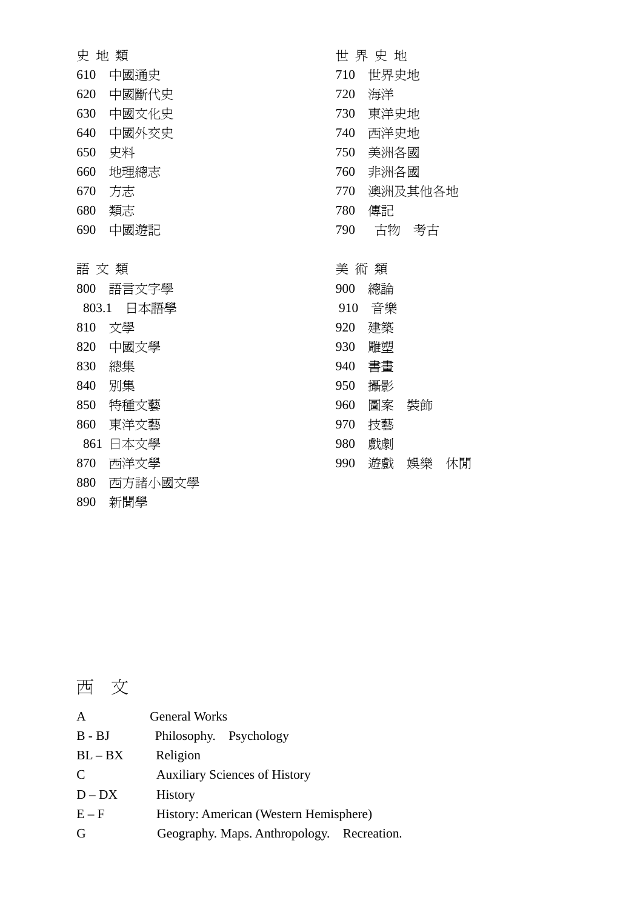| 史地類   |         |     | 世界史地  |         |    |
|-------|---------|-----|-------|---------|----|
| 610   | 中國通史    | 710 | 世界史地  |         |    |
| 620   | 中國斷代史   | 720 | 海洋    |         |    |
| 630   | 中國文化史   | 730 | 東洋史地  |         |    |
| 640   | 中國外交史   | 740 | 西洋史地  |         |    |
| 650   | 史料      | 750 | 美洲各國  |         |    |
| 660   | 地理總志    | 760 | 非洲各國  |         |    |
| 670   | 方志      | 770 |       | 澳洲及其他各地 |    |
| 680   | 類志      | 780 | 傳記    |         |    |
| 690   | 中國遊記    | 790 | 古物    | 考古      |    |
|       |         |     |       |         |    |
| 語 文 類 |         |     | 美 術 類 |         |    |
| 800   | 語言文字學   | 900 | 總論    |         |    |
| 803.1 | 日本語學    | 910 | 音樂    |         |    |
| 810   | 文學      | 920 | 建築    |         |    |
| 820   | 中國文學    | 930 | 雕塑    |         |    |
| 830   | 總集      | 940 | 書畫    |         |    |
| 840   | 別集      | 950 | 攝影    |         |    |
| 850   | 特種文藝    | 960 | 圖案    | 裝飾      |    |
| 860   | 東洋文藝    | 970 | 技藝    |         |    |
| 861   | 日本文學    | 980 | 戲劇    |         |    |
| 870   | 西洋文學    | 990 | 遊戲    | 娛樂      | 休閒 |
| 880   | 西方諸小國文學 |     |       |         |    |
| 890   | 新聞學     |     |       |         |    |

西 文

| $\mathbf{A}$  | <b>General Works</b>                       |  |  |
|---------------|--------------------------------------------|--|--|
| $B - BJ$      | Philosophy. Psychology                     |  |  |
| $BL - BX$     | Religion                                   |  |  |
| $\mathcal{C}$ | <b>Auxiliary Sciences of History</b>       |  |  |
| $D - DX$      | <b>History</b>                             |  |  |
| $E - F$       | History: American (Western Hemisphere)     |  |  |
| G             | Geography. Maps. Anthropology. Recreation. |  |  |
|               |                                            |  |  |